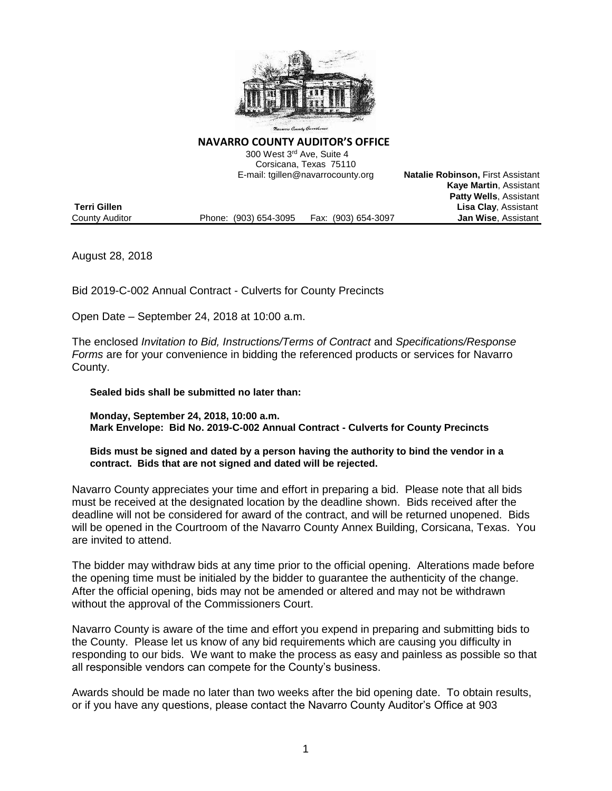

**NAVARRO COUNTY AUDITOR'S OFFICE**

 300 West 3rd Ave, Suite 4 Corsicana, Texas 75110 E-mail: tgillen@navarrocounty.org **Natalie Robinson,** First Assistant

|                     |                       |                     | <b>Kaye Martin, Assistant</b> |
|---------------------|-----------------------|---------------------|-------------------------------|
|                     |                       |                     | <b>Patty Wells, Assistant</b> |
| <b>Terri Gillen</b> |                       |                     | <b>Lisa Clay, Assistant</b>   |
| County Auditor      | Phone: (903) 654-3095 | Fax: (903) 654-3097 | <b>Jan Wise, Assistant</b>    |

August 28, 2018

Bid 2019-C-002 Annual Contract - Culverts for County Precincts

Open Date – September 24, 2018 at 10:00 a.m.

The enclosed *Invitation to Bid, Instructions/Terms of Contract* and *Specifications/Response Forms* are for your convenience in bidding the referenced products or services for Navarro County.

**Sealed bids shall be submitted no later than:**

**Monday, September 24, 2018, 10:00 a.m. Mark Envelope: Bid No. 2019-C-002 Annual Contract - Culverts for County Precincts**

**Bids must be signed and dated by a person having the authority to bind the vendor in a contract. Bids that are not signed and dated will be rejected.**

Navarro County appreciates your time and effort in preparing a bid. Please note that all bids must be received at the designated location by the deadline shown. Bids received after the deadline will not be considered for award of the contract, and will be returned unopened. Bids will be opened in the Courtroom of the Navarro County Annex Building, Corsicana, Texas. You are invited to attend.

The bidder may withdraw bids at any time prior to the official opening. Alterations made before the opening time must be initialed by the bidder to guarantee the authenticity of the change. After the official opening, bids may not be amended or altered and may not be withdrawn without the approval of the Commissioners Court.

Navarro County is aware of the time and effort you expend in preparing and submitting bids to the County. Please let us know of any bid requirements which are causing you difficulty in responding to our bids. We want to make the process as easy and painless as possible so that all responsible vendors can compete for the County's business.

Awards should be made no later than two weeks after the bid opening date. To obtain results, or if you have any questions, please contact the Navarro County Auditor's Office at 903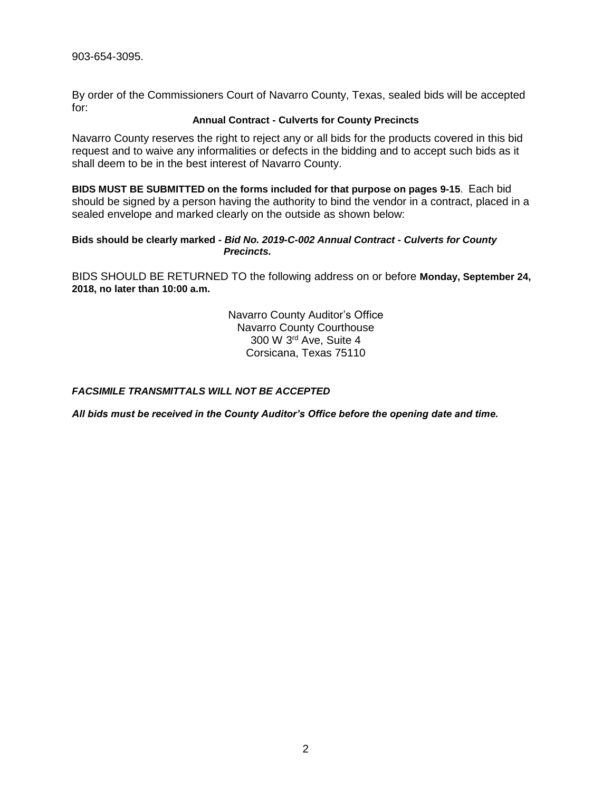By order of the Commissioners Court of Navarro County, Texas, sealed bids will be accepted for:

#### **Annual Contract - Culverts for County Precincts**

Navarro County reserves the right to reject any or all bids for the products covered in this bid request and to waive any informalities or defects in the bidding and to accept such bids as it shall deem to be in the best interest of Navarro County.

**BIDS MUST BE SUBMITTED on the forms included for that purpose on pages 9-15**. Each bid should be signed by a person having the authority to bind the vendor in a contract, placed in a sealed envelope and marked clearly on the outside as shown below:

### **Bids should be clearly marked** *- Bid No. 2019-C-002 Annual Contract - Culverts for County Precincts.*

BIDS SHOULD BE RETURNED TO the following address on or before **Monday, September 24, 2018, no later than 10:00 a.m.**

> Navarro County Auditor's Office Navarro County Courthouse 300 W 3rd Ave, Suite 4 Corsicana, Texas 75110

### *FACSIMILE TRANSMITTALS WILL NOT BE ACCEPTED*

*All bids must be received in the County Auditor's Office before the opening date and time.*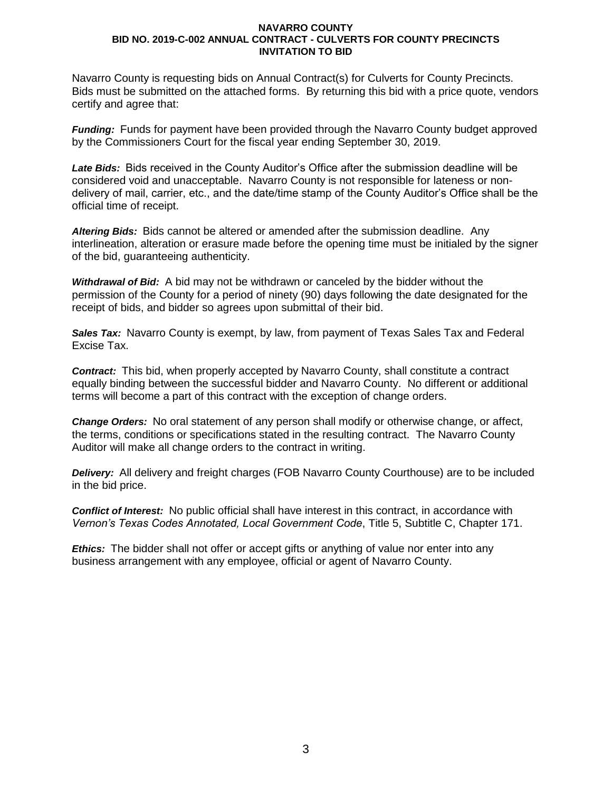Navarro County is requesting bids on Annual Contract(s) for Culverts for County Precincts. Bids must be submitted on the attached forms. By returning this bid with a price quote, vendors certify and agree that:

*Funding:* Funds for payment have been provided through the Navarro County budget approved by the Commissioners Court for the fiscal year ending September 30, 2019.

*Late Bids:* Bids received in the County Auditor's Office after the submission deadline will be considered void and unacceptable. Navarro County is not responsible for lateness or nondelivery of mail, carrier, etc., and the date/time stamp of the County Auditor's Office shall be the official time of receipt.

*Altering Bids:* Bids cannot be altered or amended after the submission deadline. Any interlineation, alteration or erasure made before the opening time must be initialed by the signer of the bid, guaranteeing authenticity.

*Withdrawal of Bid:* A bid may not be withdrawn or canceled by the bidder without the permission of the County for a period of ninety (90) days following the date designated for the receipt of bids, and bidder so agrees upon submittal of their bid.

*Sales Tax:* Navarro County is exempt, by law, from payment of Texas Sales Tax and Federal Excise Tax.

*Contract:* This bid, when properly accepted by Navarro County, shall constitute a contract equally binding between the successful bidder and Navarro County. No different or additional terms will become a part of this contract with the exception of change orders.

*Change Orders:* No oral statement of any person shall modify or otherwise change, or affect, the terms, conditions or specifications stated in the resulting contract. The Navarro County Auditor will make all change orders to the contract in writing.

*Delivery:* All delivery and freight charges (FOB Navarro County Courthouse) are to be included in the bid price.

*Conflict of Interest:* No public official shall have interest in this contract, in accordance with *Vernon's Texas Codes Annotated, Local Government Code*, Title 5, Subtitle C, Chapter 171.

*Ethics:* The bidder shall not offer or accept gifts or anything of value nor enter into any business arrangement with any employee, official or agent of Navarro County.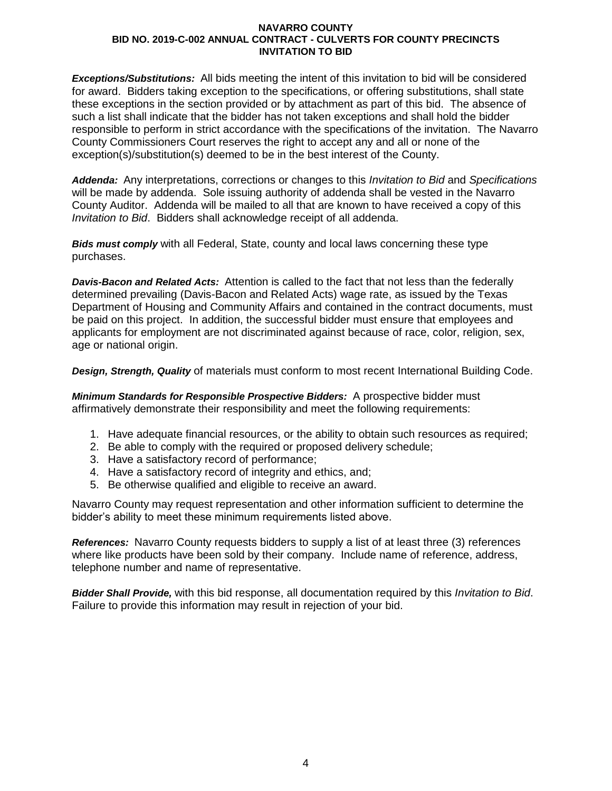*Exceptions/Substitutions:* All bids meeting the intent of this invitation to bid will be considered for award. Bidders taking exception to the specifications, or offering substitutions, shall state these exceptions in the section provided or by attachment as part of this bid. The absence of such a list shall indicate that the bidder has not taken exceptions and shall hold the bidder responsible to perform in strict accordance with the specifications of the invitation. The Navarro County Commissioners Court reserves the right to accept any and all or none of the exception(s)/substitution(s) deemed to be in the best interest of the County.

*Addenda:* Any interpretations, corrections or changes to this *Invitation to Bid* and *Specifications* will be made by addenda. Sole issuing authority of addenda shall be vested in the Navarro County Auditor. Addenda will be mailed to all that are known to have received a copy of this *Invitation to Bid*. Bidders shall acknowledge receipt of all addenda.

*Bids must comply* with all Federal, State, county and local laws concerning these type purchases.

*Davis-Bacon and Related Acts:* Attention is called to the fact that not less than the federally determined prevailing (Davis-Bacon and Related Acts) wage rate, as issued by the Texas Department of Housing and Community Affairs and contained in the contract documents, must be paid on this project. In addition, the successful bidder must ensure that employees and applicants for employment are not discriminated against because of race, color, religion, sex, age or national origin.

*Design, Strength, Quality* of materials must conform to most recent International Building Code.

*Minimum Standards for Responsible Prospective Bidders:* A prospective bidder must affirmatively demonstrate their responsibility and meet the following requirements:

- 1. Have adequate financial resources, or the ability to obtain such resources as required;
- 2. Be able to comply with the required or proposed delivery schedule;
- 3. Have a satisfactory record of performance;
- 4. Have a satisfactory record of integrity and ethics, and;
- 5. Be otherwise qualified and eligible to receive an award.

Navarro County may request representation and other information sufficient to determine the bidder's ability to meet these minimum requirements listed above.

*References:* Navarro County requests bidders to supply a list of at least three (3) references where like products have been sold by their company. Include name of reference, address, telephone number and name of representative.

*Bidder Shall Provide,* with this bid response, all documentation required by this *Invitation to Bid*. Failure to provide this information may result in rejection of your bid.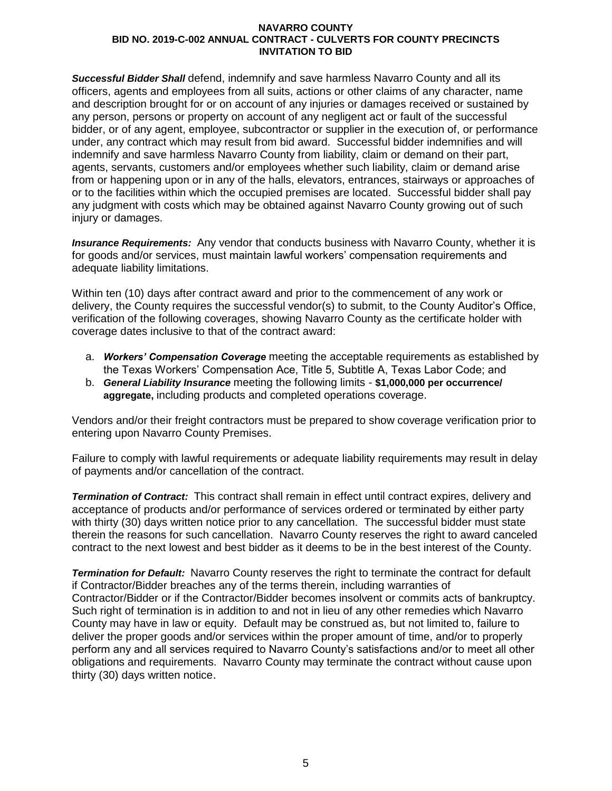*Successful Bidder Shall* defend, indemnify and save harmless Navarro County and all its officers, agents and employees from all suits, actions or other claims of any character, name and description brought for or on account of any injuries or damages received or sustained by any person, persons or property on account of any negligent act or fault of the successful bidder, or of any agent, employee, subcontractor or supplier in the execution of, or performance under, any contract which may result from bid award. Successful bidder indemnifies and will indemnify and save harmless Navarro County from liability, claim or demand on their part, agents, servants, customers and/or employees whether such liability, claim or demand arise from or happening upon or in any of the halls, elevators, entrances, stairways or approaches of or to the facilities within which the occupied premises are located. Successful bidder shall pay any judgment with costs which may be obtained against Navarro County growing out of such injury or damages.

*Insurance Requirements:* Any vendor that conducts business with Navarro County, whether it is for goods and/or services, must maintain lawful workers' compensation requirements and adequate liability limitations.

Within ten (10) days after contract award and prior to the commencement of any work or delivery, the County requires the successful vendor(s) to submit, to the County Auditor's Office, verification of the following coverages, showing Navarro County as the certificate holder with coverage dates inclusive to that of the contract award:

- a. *Workers' Compensation Coverage* meeting the acceptable requirements as established by the Texas Workers' Compensation Ace, Title 5, Subtitle A, Texas Labor Code; and
- b. *General Liability Insurance* meeting the following limits **\$1,000,000 per occurrence/ aggregate,** including products and completed operations coverage.

Vendors and/or their freight contractors must be prepared to show coverage verification prior to entering upon Navarro County Premises.

Failure to comply with lawful requirements or adequate liability requirements may result in delay of payments and/or cancellation of the contract.

*Termination of Contract:* This contract shall remain in effect until contract expires, delivery and acceptance of products and/or performance of services ordered or terminated by either party with thirty (30) days written notice prior to any cancellation. The successful bidder must state therein the reasons for such cancellation. Navarro County reserves the right to award canceled contract to the next lowest and best bidder as it deems to be in the best interest of the County.

*Termination for Default:* Navarro County reserves the right to terminate the contract for default if Contractor/Bidder breaches any of the terms therein, including warranties of Contractor/Bidder or if the Contractor/Bidder becomes insolvent or commits acts of bankruptcy. Such right of termination is in addition to and not in lieu of any other remedies which Navarro County may have in law or equity. Default may be construed as, but not limited to, failure to deliver the proper goods and/or services within the proper amount of time, and/or to properly perform any and all services required to Navarro County's satisfactions and/or to meet all other obligations and requirements. Navarro County may terminate the contract without cause upon thirty (30) days written notice.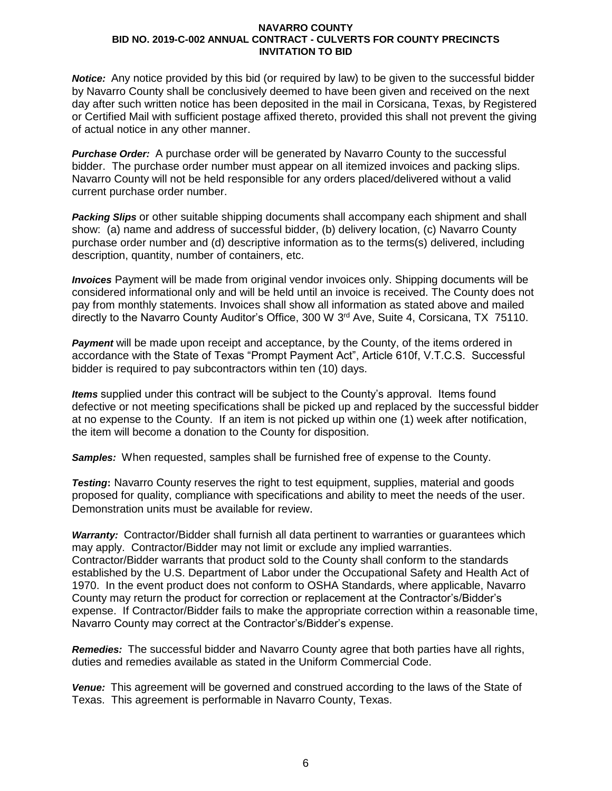*Notice:* Any notice provided by this bid (or required by law) to be given to the successful bidder by Navarro County shall be conclusively deemed to have been given and received on the next day after such written notice has been deposited in the mail in Corsicana, Texas, by Registered or Certified Mail with sufficient postage affixed thereto, provided this shall not prevent the giving of actual notice in any other manner.

*Purchase Order:* A purchase order will be generated by Navarro County to the successful bidder. The purchase order number must appear on all itemized invoices and packing slips. Navarro County will not be held responsible for any orders placed/delivered without a valid current purchase order number.

*Packing Slips* or other suitable shipping documents shall accompany each shipment and shall show: (a) name and address of successful bidder, (b) delivery location, (c) Navarro County purchase order number and (d) descriptive information as to the terms(s) delivered, including description, quantity, number of containers, etc.

*Invoices* Payment will be made from original vendor invoices only. Shipping documents will be considered informational only and will be held until an invoice is received. The County does not pay from monthly statements. Invoices shall show all information as stated above and mailed directly to the Navarro County Auditor's Office, 300 W 3rd Ave, Suite 4, Corsicana, TX 75110.

**Payment** will be made upon receipt and acceptance, by the County, of the items ordered in accordance with the State of Texas "Prompt Payment Act", Article 610f, V.T.C.S. Successful bidder is required to pay subcontractors within ten (10) days.

*Items* supplied under this contract will be subject to the County's approval. Items found defective or not meeting specifications shall be picked up and replaced by the successful bidder at no expense to the County. If an item is not picked up within one (1) week after notification, the item will become a donation to the County for disposition.

*Samples:* When requested, samples shall be furnished free of expense to the County.

**Testing:** Navarro County reserves the right to test equipment, supplies, material and goods proposed for quality, compliance with specifications and ability to meet the needs of the user. Demonstration units must be available for review.

*Warranty:* Contractor/Bidder shall furnish all data pertinent to warranties or guarantees which may apply. Contractor/Bidder may not limit or exclude any implied warranties. Contractor/Bidder warrants that product sold to the County shall conform to the standards established by the U.S. Department of Labor under the Occupational Safety and Health Act of 1970. In the event product does not conform to OSHA Standards, where applicable, Navarro County may return the product for correction or replacement at the Contractor's/Bidder's expense. If Contractor/Bidder fails to make the appropriate correction within a reasonable time, Navarro County may correct at the Contractor's/Bidder's expense.

*Remedies:* The successful bidder and Navarro County agree that both parties have all rights, duties and remedies available as stated in the Uniform Commercial Code.

*Venue:* This agreement will be governed and construed according to the laws of the State of Texas. This agreement is performable in Navarro County, Texas.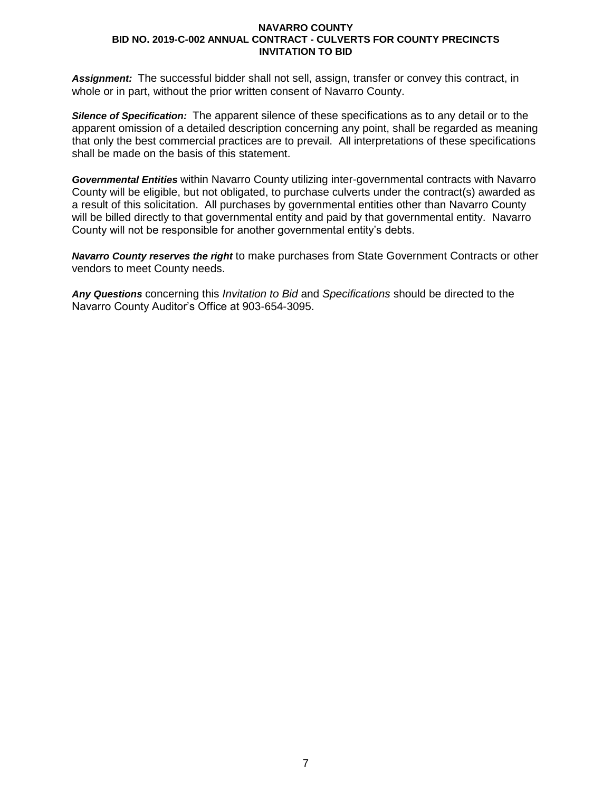*Assignment:* The successful bidder shall not sell, assign, transfer or convey this contract, in whole or in part, without the prior written consent of Navarro County.

*Silence of Specification:* The apparent silence of these specifications as to any detail or to the apparent omission of a detailed description concerning any point, shall be regarded as meaning that only the best commercial practices are to prevail. All interpretations of these specifications shall be made on the basis of this statement.

*Governmental Entities* within Navarro County utilizing inter-governmental contracts with Navarro County will be eligible, but not obligated, to purchase culverts under the contract(s) awarded as a result of this solicitation. All purchases by governmental entities other than Navarro County will be billed directly to that governmental entity and paid by that governmental entity. Navarro County will not be responsible for another governmental entity's debts.

*Navarro County reserves the right* to make purchases from State Government Contracts or other vendors to meet County needs.

*Any Questions* concerning this *Invitation to Bid* and *Specifications* should be directed to the Navarro County Auditor's Office at 903-654-3095.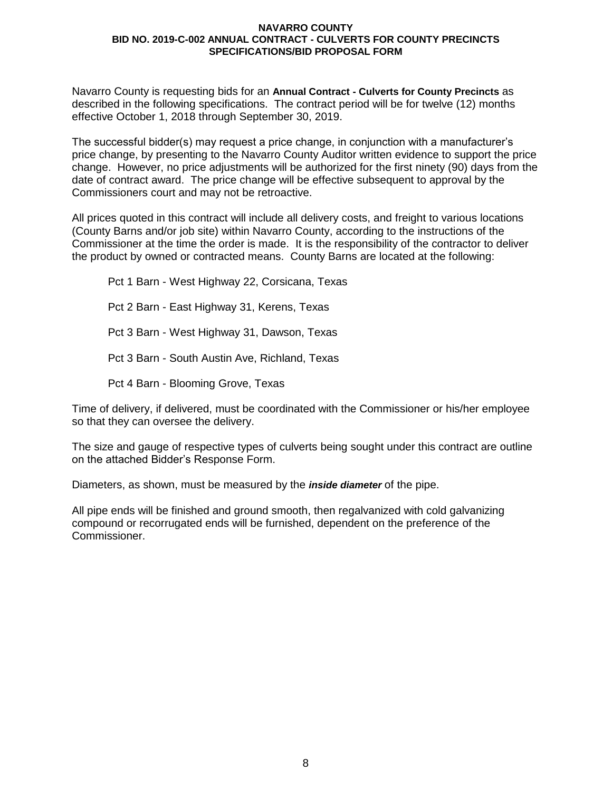Navarro County is requesting bids for an **Annual Contract - Culverts for County Precincts** as described in the following specifications. The contract period will be for twelve (12) months effective October 1, 2018 through September 30, 2019.

The successful bidder(s) may request a price change, in conjunction with a manufacturer's price change, by presenting to the Navarro County Auditor written evidence to support the price change. However, no price adjustments will be authorized for the first ninety (90) days from the date of contract award. The price change will be effective subsequent to approval by the Commissioners court and may not be retroactive.

All prices quoted in this contract will include all delivery costs, and freight to various locations (County Barns and/or job site) within Navarro County, according to the instructions of the Commissioner at the time the order is made. It is the responsibility of the contractor to deliver the product by owned or contracted means. County Barns are located at the following:

Pct 1 Barn - West Highway 22, Corsicana, Texas Pct 2 Barn - East Highway 31, Kerens, Texas Pct 3 Barn - West Highway 31, Dawson, Texas Pct 3 Barn - South Austin Ave, Richland, Texas Pct 4 Barn - Blooming Grove, Texas

Time of delivery, if delivered, must be coordinated with the Commissioner or his/her employee so that they can oversee the delivery.

The size and gauge of respective types of culverts being sought under this contract are outline on the attached Bidder's Response Form.

Diameters, as shown, must be measured by the *inside diameter* of the pipe.

All pipe ends will be finished and ground smooth, then regalvanized with cold galvanizing compound or recorrugated ends will be furnished, dependent on the preference of the Commissioner.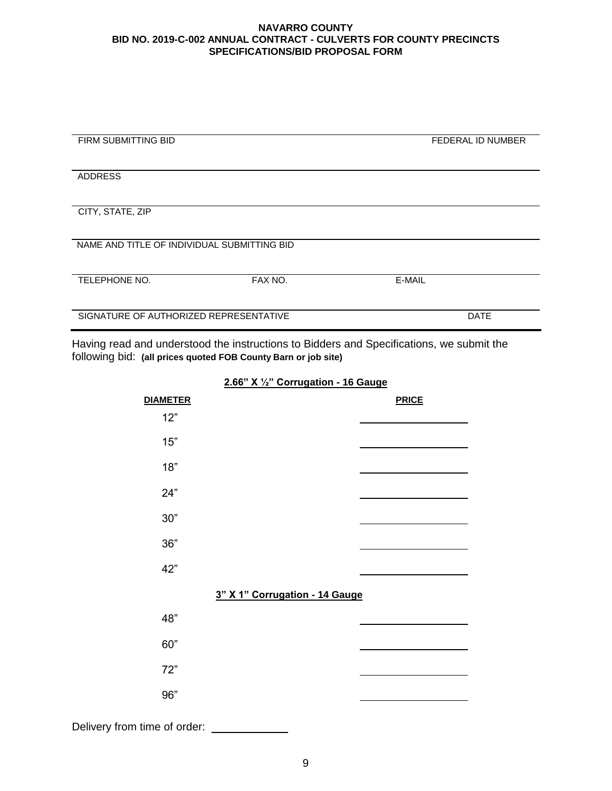| <b>FIRM SUBMITTING BID</b>                  |         | <b>FEDERAL ID NUMBER</b> |
|---------------------------------------------|---------|--------------------------|
|                                             |         |                          |
|                                             |         |                          |
|                                             |         |                          |
| <b>ADDRESS</b>                              |         |                          |
|                                             |         |                          |
|                                             |         |                          |
|                                             |         |                          |
| CITY, STATE, ZIP                            |         |                          |
|                                             |         |                          |
|                                             |         |                          |
|                                             |         |                          |
| NAME AND TITLE OF INDIVIDUAL SUBMITTING BID |         |                          |
|                                             |         |                          |
|                                             |         |                          |
|                                             |         |                          |
| TELEPHONE NO.                               | FAX NO. | E-MAIL                   |
|                                             |         |                          |
|                                             |         |                          |
|                                             |         |                          |
| SIGNATURE OF AUTHORIZED REPRESENTATIVE      |         | <b>DATE</b>              |
|                                             |         |                          |
|                                             |         |                          |

Having read and understood the instructions to Bidders and Specifications, we submit the following bid: **(all prices quoted FOB County Barn or job site)**

**2.66" X ½" Corrugation - 16 Gauge**

| <b>DIAMETER</b>              |                                | <b>PRICE</b> |
|------------------------------|--------------------------------|--------------|
| 12"                          |                                |              |
| 15"                          |                                |              |
| 18"                          |                                |              |
| 24"                          |                                |              |
| $30"$                        |                                |              |
| 36"                          |                                |              |
| 42"                          |                                |              |
|                              | 3" X 1" Corrugation - 14 Gauge |              |
| 48"                          |                                |              |
| 60"                          |                                |              |
| 72"                          |                                |              |
| 96"                          |                                |              |
| Delivery from time of order: |                                |              |

9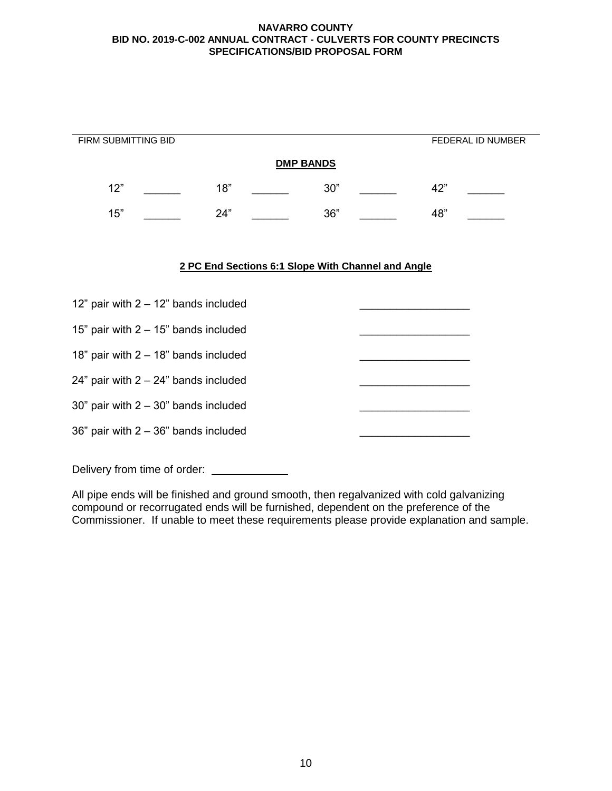| FIRM SUBMITTING BID                     |                  |  |     |                                                    |     | FEDERAL ID NUMBER |
|-----------------------------------------|------------------|--|-----|----------------------------------------------------|-----|-------------------|
|                                         | <b>DMP BANDS</b> |  |     |                                                    |     |                   |
| 12"                                     | 18"              |  | 30" |                                                    | 42" |                   |
| 15"                                     | 24"              |  | 36" |                                                    | 48" |                   |
|                                         |                  |  |     | 2 PC End Sections 6:1 Slope With Channel and Angle |     |                   |
| 12" pair with $2 - 12$ " bands included |                  |  |     |                                                    |     |                   |
| 15" pair with $2 - 15$ " bands included |                  |  |     |                                                    |     |                   |

18" pair with  $2 - 18$ " bands included

24" pair with  $2 - 24$ " bands included

30" pair with  $2 - 30$ " bands included

36" pair with  $2 - 36$ " bands included

Delivery from time of order:

All pipe ends will be finished and ground smooth, then regalvanized with cold galvanizing compound or recorrugated ends will be furnished, dependent on the preference of the Commissioner. If unable to meet these requirements please provide explanation and sample.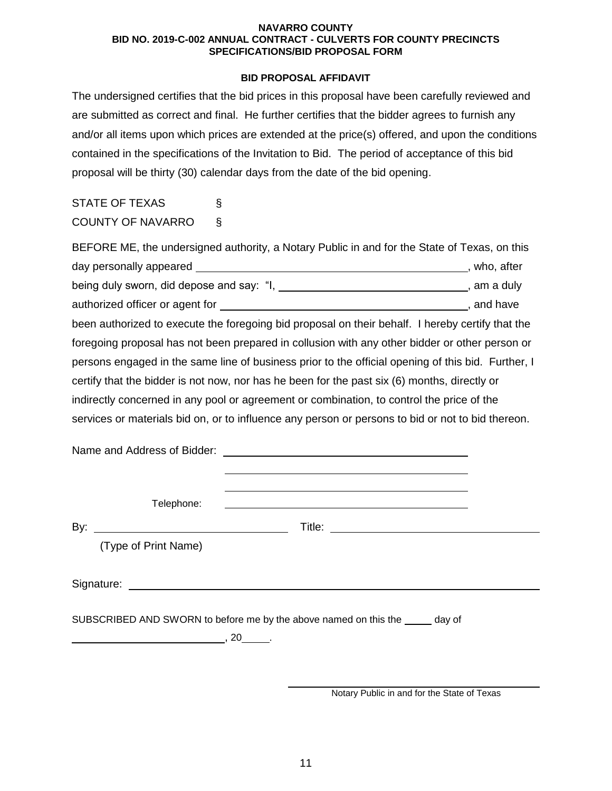## **BID PROPOSAL AFFIDAVIT**

The undersigned certifies that the bid prices in this proposal have been carefully reviewed and are submitted as correct and final. He further certifies that the bidder agrees to furnish any and/or all items upon which prices are extended at the price(s) offered, and upon the conditions contained in the specifications of the Invitation to Bid. The period of acceptance of this bid proposal will be thirty (30) calendar days from the date of the bid opening.

# STATE OF TEXAS § COUNTY OF NAVARRO §

| BEFORE ME, the undersigned authority, a Notary Public in and for the State of Texas, on this       |              |
|----------------------------------------------------------------------------------------------------|--------------|
| day personally appeared                                                                            | , who, after |
| being duly sworn, did depose and say: "I, _________________________________, am a duly             |              |
|                                                                                                    | , and have   |
| been authorized to execute the foregoing bid proposal on their behalf. I hereby certify that the   |              |
| foregoing proposal has not been prepared in collusion with any other bidder or other person or     |              |
| persons engaged in the same line of business prior to the official opening of this bid. Further, I |              |
| certify that the bidder is not now, nor has he been for the past six (6) months, directly or       |              |
| indirectly concerned in any pool or agreement or combination, to control the price of the          |              |
| services or materials bid on, or to influence any person or persons to bid or not to bid thereon.  |              |

|     | Telephone:                                                                      | <u> 1989 - Johann Stein, Amerikaansk politiker († 1908)</u>                    |  |
|-----|---------------------------------------------------------------------------------|--------------------------------------------------------------------------------|--|
| By: | <u> 1989 - Johann Barbara, martin amerikan basal da</u><br>(Type of Print Name) |                                                                                |  |
|     |                                                                                 |                                                                                |  |
|     |                                                                                 | SUBSCRIBED AND SWORN to before me by the above named on this the ______ day of |  |
|     |                                                                                 |                                                                                |  |

Notary Public in and for the State of Texas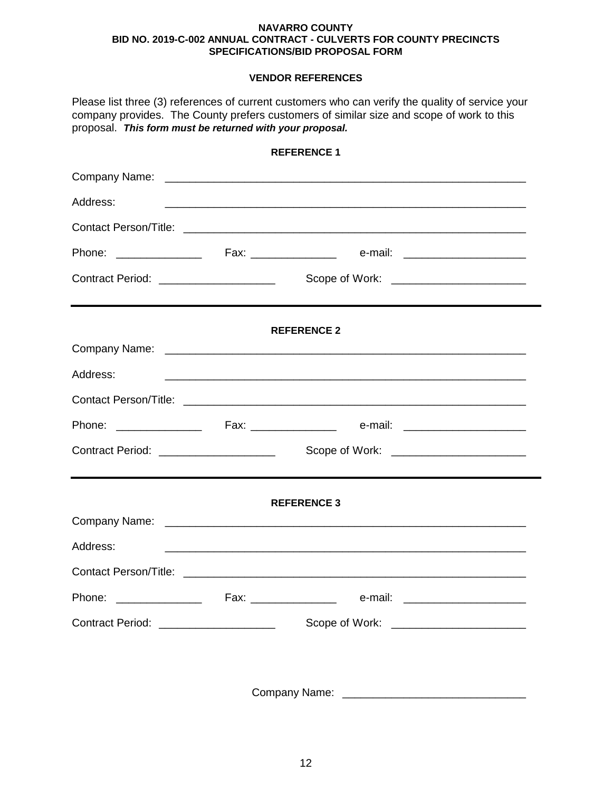# **VENDOR REFERENCES**

Please list three (3) references of current customers who can verify the quality of service your company provides. The County prefers customers of similar size and scope of work to this proposal. *This form must be returned with your proposal.*

|                                         | <b>REFERENCE 1</b>                                                                                                    |  |
|-----------------------------------------|-----------------------------------------------------------------------------------------------------------------------|--|
|                                         |                                                                                                                       |  |
| Address:                                | <u> 1989 - Johann Harry Harry Harry Harry Harry Harry Harry Harry Harry Harry Harry Harry Harry Harry Harry Harry</u> |  |
|                                         |                                                                                                                       |  |
|                                         |                                                                                                                       |  |
| Contract Period: ______________________ |                                                                                                                       |  |
|                                         | <b>REFERENCE 2</b>                                                                                                    |  |
|                                         |                                                                                                                       |  |
| Address:                                |                                                                                                                       |  |
|                                         |                                                                                                                       |  |
|                                         |                                                                                                                       |  |
| Contract Period: ______________________ |                                                                                                                       |  |
|                                         | <b>REFERENCE 3</b>                                                                                                    |  |
|                                         |                                                                                                                       |  |
| Address:                                | <u> 1989 - Johann Harry Harry Harry Harry Harry Harry Harry Harry Harry Harry Harry Harry Harry Harry Harry Harry</u> |  |
|                                         |                                                                                                                       |  |
|                                         |                                                                                                                       |  |
| Contract Period: ______________________ | Scope of Work: _________________________                                                                              |  |
|                                         |                                                                                                                       |  |

Company Name: \_\_\_\_\_\_\_\_\_\_\_\_\_\_\_\_\_\_\_\_\_\_\_\_\_\_\_\_\_\_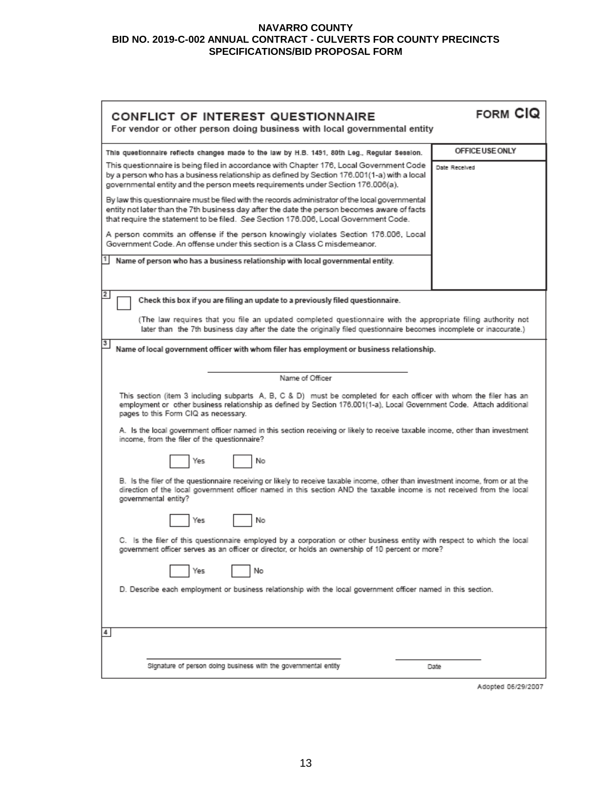| CONFLICT OF INTEREST QUESTIONNAIRE<br>For vendor or other person doing business with local governmental entity                                                                                                                                                                         | <b>FORM CIQ</b> |  |  |
|----------------------------------------------------------------------------------------------------------------------------------------------------------------------------------------------------------------------------------------------------------------------------------------|-----------------|--|--|
| This questionnaire reflects changes made to the law by H.B. 1491, 80th Leg., Regular Session.                                                                                                                                                                                          | OFFICE USE ONLY |  |  |
| This questionnaire is being filed in accordance with Chapter 176, Local Government Code<br>by a person who has a business relationship as defined by Section 176.001(1-a) with a local<br>governmental entity and the person meets requirements under Section 176.006(a).              | Date Received   |  |  |
| By law this questionnaire must be filed with the records administrator of the local governmental<br>entity not later than the 7th business day after the date the person becomes aware of facts<br>that require the statement to be filed. See Section 176.006, Local Government Code. |                 |  |  |
| A person commits an offense if the person knowingly violates Section 176.006, Local<br>Government Code. An offense under this section is a Class C misdemeanor.                                                                                                                        |                 |  |  |
| Name of person who has a business relationship with local governmental entity.                                                                                                                                                                                                         |                 |  |  |
| $\mathbf{2}$<br>Check this box if you are filing an update to a previously filed questionnaire.                                                                                                                                                                                        |                 |  |  |
| (The law requires that you file an updated completed questionnaire with the appropriate filing authority not<br>later than the 7th business day after the date the originally filed questionnaire becomes incomplete or inaccurate.)                                                   |                 |  |  |
| 3<br>Name of local government officer with whom filer has employment or business relationship.                                                                                                                                                                                         |                 |  |  |
| Name of Officer                                                                                                                                                                                                                                                                        |                 |  |  |
| This section (item 3 including subparts A, B, C & D) must be completed for each officer with whom the filer has an<br>employment or other business relationship as defined by Section 176.001(1-a), Local Government Code. Attach additional<br>pages to this Form CIQ as necessary.   |                 |  |  |
| A. Is the local government officer named in this section receiving or likely to receive taxable income, other than investment<br>income, from the filer of the questionnaire?                                                                                                          |                 |  |  |
| No<br>Yes                                                                                                                                                                                                                                                                              |                 |  |  |
| B. Is the filer of the questionnaire receiving or likely to receive taxable income, other than investment income, from or at the<br>direction of the local government officer named in this section AND the taxable income is not received from the local<br>governmental entity?      |                 |  |  |
| No<br>Yes                                                                                                                                                                                                                                                                              |                 |  |  |
| C. Is the filer of this questionnaire employed by a corporation or other business entity with respect to which the local<br>government officer serves as an officer or director, or holds an ownership of 10 percent or more?                                                          |                 |  |  |
| No<br>Yes                                                                                                                                                                                                                                                                              |                 |  |  |
| D. Describe each employment or business relationship with the local government officer named in this section.                                                                                                                                                                          |                 |  |  |
| 4                                                                                                                                                                                                                                                                                      |                 |  |  |
| Signature of person doing business with the governmental entity                                                                                                                                                                                                                        | Date            |  |  |
|                                                                                                                                                                                                                                                                                        |                 |  |  |

Adopted 06/29/2007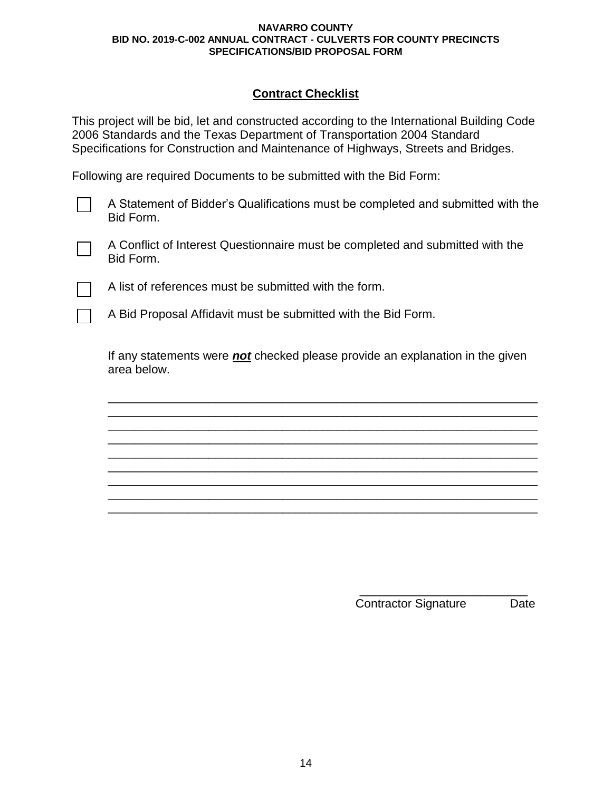# **Contract Checklist**

This project will be bid, let and constructed according to the International Building Code 2006 Standards and the Texas Department of Transportation 2004 Standard Specifications for Construction and Maintenance of Highways, Streets and Bridges.

Following are required Documents to be submitted with the Bid Form:

A Statement of Bidder's Qualifications must be completed and submitted with the Bid Form.

A Conflict of Interest Questionnaire must be completed and submitted with the Bid Form.

A list of references must be submitted with the form.

A Bid Proposal Affidavit must be submitted with the Bid Form.

If any statements were *not* checked please provide an explanation in the given area below.

\_\_\_\_\_\_\_\_\_\_\_\_\_\_\_\_\_\_\_\_\_\_\_\_\_\_\_\_\_\_\_\_\_\_\_\_\_\_\_\_\_\_\_\_\_\_\_\_\_\_\_\_\_\_\_\_\_\_\_\_\_\_\_\_ \_\_\_\_\_\_\_\_\_\_\_\_\_\_\_\_\_\_\_\_\_\_\_\_\_\_\_\_\_\_\_\_\_\_\_\_\_\_\_\_\_\_\_\_\_\_\_\_\_\_\_\_\_\_\_\_\_\_\_\_\_\_\_\_ \_\_\_\_\_\_\_\_\_\_\_\_\_\_\_\_\_\_\_\_\_\_\_\_\_\_\_\_\_\_\_\_\_\_\_\_\_\_\_\_\_\_\_\_\_\_\_\_\_\_\_\_\_\_\_\_\_\_\_\_\_\_\_\_ \_\_\_\_\_\_\_\_\_\_\_\_\_\_\_\_\_\_\_\_\_\_\_\_\_\_\_\_\_\_\_\_\_\_\_\_\_\_\_\_\_\_\_\_\_\_\_\_\_\_\_\_\_\_\_\_\_\_\_\_\_\_\_\_ \_\_\_\_\_\_\_\_\_\_\_\_\_\_\_\_\_\_\_\_\_\_\_\_\_\_\_\_\_\_\_\_\_\_\_\_\_\_\_\_\_\_\_\_\_\_\_\_\_\_\_\_\_\_\_\_\_\_\_\_\_\_\_\_ \_\_\_\_\_\_\_\_\_\_\_\_\_\_\_\_\_\_\_\_\_\_\_\_\_\_\_\_\_\_\_\_\_\_\_\_\_\_\_\_\_\_\_\_\_\_\_\_\_\_\_\_\_\_\_\_\_\_\_\_\_\_\_\_ \_\_\_\_\_\_\_\_\_\_\_\_\_\_\_\_\_\_\_\_\_\_\_\_\_\_\_\_\_\_\_\_\_\_\_\_\_\_\_\_\_\_\_\_\_\_\_\_\_\_\_\_\_\_\_\_\_\_\_\_\_\_\_\_ \_\_\_\_\_\_\_\_\_\_\_\_\_\_\_\_\_\_\_\_\_\_\_\_\_\_\_\_\_\_\_\_\_\_\_\_\_\_\_\_\_\_\_\_\_\_\_\_\_\_\_\_\_\_\_\_\_\_\_\_\_\_\_\_ \_\_\_\_\_\_\_\_\_\_\_\_\_\_\_\_\_\_\_\_\_\_\_\_\_\_\_\_\_\_\_\_\_\_\_\_\_\_\_\_\_\_\_\_\_\_\_\_\_\_\_\_\_\_\_\_\_\_\_\_\_\_\_\_

> \_\_\_\_\_\_\_\_\_\_\_\_\_\_\_\_\_\_\_\_\_\_\_\_\_ Contractor Signature Date